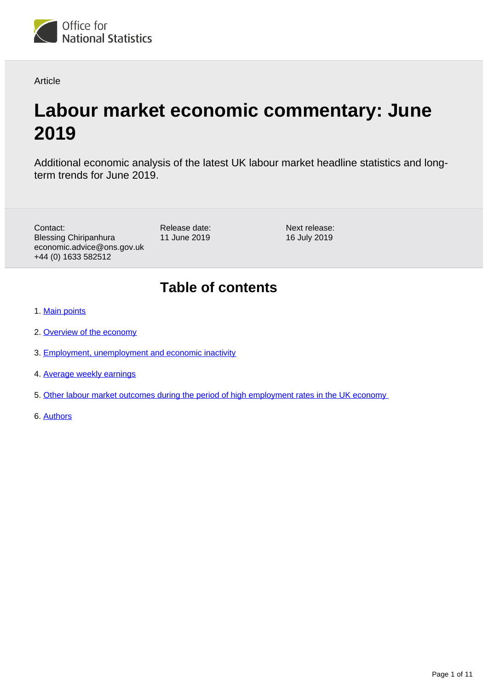

Article

# **Labour market economic commentary: June 2019**

Additional economic analysis of the latest UK labour market headline statistics and longterm trends for June 2019.

Contact: Blessing Chiripanhura economic.advice@ons.gov.uk +44 (0) 1633 582512

Release date: 11 June 2019 Next release: 16 July 2019

# **Table of contents**

- 1. [Main points](#page-1-0)
- 2. [Overview of the economy](#page-1-1)
- 3. [Employment, unemployment and economic inactivity](#page-1-2)
- 4. [Average weekly earnings](#page-4-0)
- 5. [Other labour market outcomes during the period of high employment rates in the UK economy](#page-5-0)
- 6. [Authors](#page-10-0)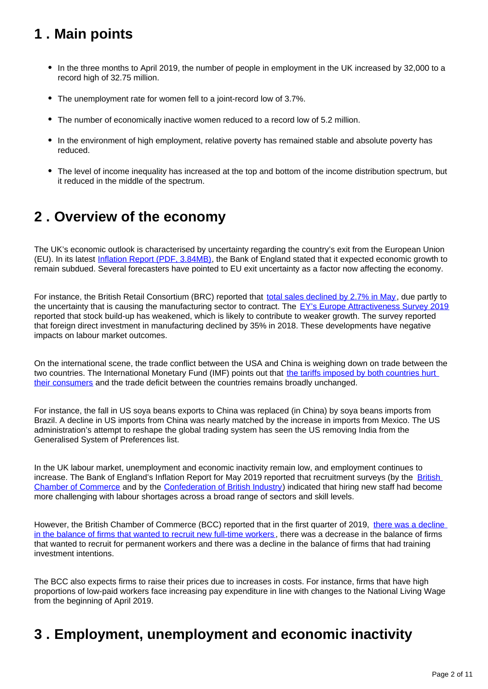# <span id="page-1-0"></span>**1 . Main points**

- In the three months to April 2019, the number of people in employment in the UK increased by 32,000 to a record high of 32.75 million.
- The unemployment rate for women fell to a joint-record low of 3.7%.
- The number of economically inactive women reduced to a record low of 5.2 million.
- In the environment of high employment, relative poverty has remained stable and absolute poverty has reduced.
- The level of income inequality has increased at the top and bottom of the income distribution spectrum, but it reduced in the middle of the spectrum.

## <span id="page-1-1"></span>**2 . Overview of the economy**

The UK's economic outlook is characterised by uncertainty regarding the country's exit from the European Union (EU). In its latest [Inflation Report \(PDF, 3.84MB\)](https://www.bankofengland.co.uk/-/media/boe/files/inflation-report/2019/may/inflation-report-may-2019.pdf?la=en&hash=D4985F6D513BF04EB81A28C53F6DB0CFB8CC09FB), the Bank of England stated that it expected economic growth to remain subdued. Several forecasters have pointed to EU exit uncertainty as a factor now affecting the economy.

For instance, the British Retail Consortium (BRC) reported that [total sales declined by 2.7% in May](https://brc.org.uk/retail-insight-analytics/retail-sales-reports/retail-sales-monitor/reports?id=31133), due partly to the uncertainty that is causing the manufacturing sector to contract. The [EY's Europe Attractiveness Survey 2019](https://www.ey.com/en_gl/attractiveness/19/how-can-europe-raise-its-game-ey-european-attractiveness-survey-2019) reported that stock build-up has weakened, which is likely to contribute to weaker growth. The survey reported that foreign direct investment in manufacturing declined by 35% in 2018. These developments have negative impacts on labour market outcomes.

On the international scene, the trade conflict between the USA and China is weighing down on trade between the two countries. The International Monetary Fund (IMF) points out that the tariffs imposed by both countries hurt [their consumers](https://blogs.imf.org/2019/05/23/the-impact-of-us-china-trade-tensions/) and the trade deficit between the countries remains broadly unchanged.

For instance, the fall in US soya beans exports to China was replaced (in China) by soya beans imports from Brazil. A decline in US imports from China was nearly matched by the increase in imports from Mexico. The US administration's attempt to reshape the global trading system has seen the US removing India from the Generalised System of Preferences list.

In the UK labour market, unemployment and economic inactivity remain low, and employment continues to increase. The Bank of England's Inflation Report for May 2019 reported that recruitment surveys (by the British [Chamber of Commerce](https://www.britishchambers.org.uk/news/2019/05/bcctotaljobs-no-business-sector-immune-from-recruitment-difficulties) and by the [Confederation of British Industry\)](https://www.cbi.org.uk/media-centre/articles/two-thirds-of-firms-cannot-fill-digital-roles/) indicated that hiring new staff had become more challenging with labour shortages across a broad range of sectors and skill levels.

However, the British Chamber of Commerce (BCC) reported that in the first quarter of 2019, [there was a decline](https://www.britishchambers.org.uk/news/2019/04/bcc-quarterly-economic-survey-q1-2019-business-hits-the-brakes)  [in the balance of firms that wanted to recruit new full-time workers](https://www.britishchambers.org.uk/news/2019/04/bcc-quarterly-economic-survey-q1-2019-business-hits-the-brakes) , there was a decrease in the balance of firms that wanted to recruit for permanent workers and there was a decline in the balance of firms that had training investment intentions.

The BCC also expects firms to raise their prices due to increases in costs. For instance, firms that have high proportions of low-paid workers face increasing pay expenditure in line with changes to the National Living Wage from the beginning of April 2019.

# <span id="page-1-2"></span>**3 . Employment, unemployment and economic inactivity**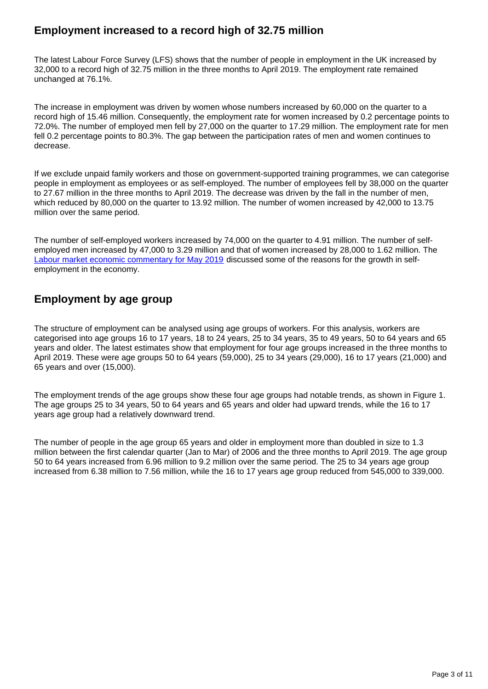## **Employment increased to a record high of 32.75 million**

The latest Labour Force Survey (LFS) shows that the number of people in employment in the UK increased by 32,000 to a record high of 32.75 million in the three months to April 2019. The employment rate remained unchanged at 76.1%.

The increase in employment was driven by women whose numbers increased by 60,000 on the quarter to a record high of 15.46 million. Consequently, the employment rate for women increased by 0.2 percentage points to 72.0%. The number of employed men fell by 27,000 on the quarter to 17.29 million. The employment rate for men fell 0.2 percentage points to 80.3%. The gap between the participation rates of men and women continues to decrease.

If we exclude unpaid family workers and those on government-supported training programmes, we can categorise people in employment as employees or as self-employed. The number of employees fell by 38,000 on the quarter to 27.67 million in the three months to April 2019. The decrease was driven by the fall in the number of men, which reduced by 80,000 on the quarter to 13.92 million. The number of women increased by 42,000 to 13.75 million over the same period.

The number of self-employed workers increased by 74,000 on the quarter to 4.91 million. The number of selfemployed men increased by 47,000 to 3.29 million and that of women increased by 28,000 to 1.62 million. The [Labour market economic commentary for May 2019](https://www.ons.gov.uk/employmentandlabourmarket/peopleinwork/employmentandemployeetypes/articles/labourmarketeconomiccommentary/latest) discussed some of the reasons for the growth in selfemployment in the economy.

## **Employment by age group**

The structure of employment can be analysed using age groups of workers. For this analysis, workers are categorised into age groups 16 to 17 years, 18 to 24 years, 25 to 34 years, 35 to 49 years, 50 to 64 years and 65 years and older. The latest estimates show that employment for four age groups increased in the three months to April 2019. These were age groups 50 to 64 years (59,000), 25 to 34 years (29,000), 16 to 17 years (21,000) and 65 years and over (15,000).

The employment trends of the age groups show these four age groups had notable trends, as shown in Figure 1. The age groups 25 to 34 years, 50 to 64 years and 65 years and older had upward trends, while the 16 to 17 years age group had a relatively downward trend.

The number of people in the age group 65 years and older in employment more than doubled in size to 1.3 million between the first calendar quarter (Jan to Mar) of 2006 and the three months to April 2019. The age group 50 to 64 years increased from 6.96 million to 9.2 million over the same period. The 25 to 34 years age group increased from 6.38 million to 7.56 million, while the 16 to 17 years age group reduced from 545,000 to 339,000.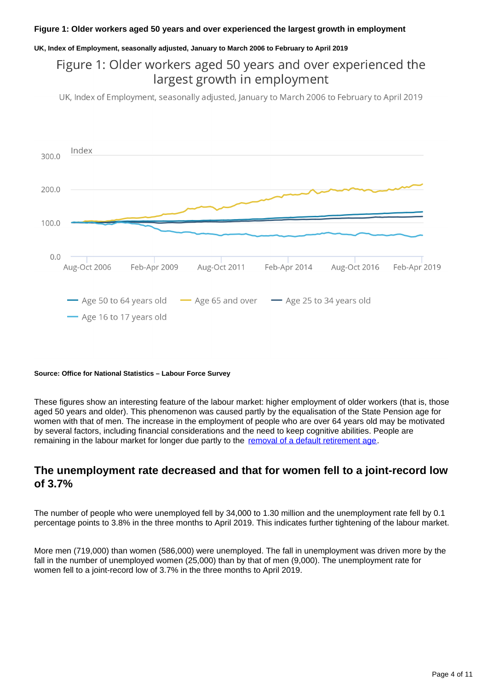### **Figure 1: Older workers aged 50 years and over experienced the largest growth in employment**

### **UK, Index of Employment, seasonally adjusted, January to March 2006 to February to April 2019**

## Figure 1: Older workers aged 50 years and over experienced the largest growth in employment

UK, Index of Employment, seasonally adjusted, January to March 2006 to February to April 2019



### **Source: Office for National Statistics – Labour Force Survey**

These figures show an interesting feature of the labour market: higher employment of older workers (that is, those aged 50 years and older). This phenomenon was caused partly by the equalisation of the State Pension age for women with that of men. The increase in the employment of people who are over 64 years old may be motivated by several factors, including financial considerations and the need to keep cognitive abilities. People are remaining in the labour market for longer due partly to the [removal of a default retirement age](https://www.gov.uk/government/news/default-retirement-age-to-end-this-year).

### **The unemployment rate decreased and that for women fell to a joint-record low of 3.7%**

The number of people who were unemployed fell by 34,000 to 1.30 million and the unemployment rate fell by 0.1 percentage points to 3.8% in the three months to April 2019. This indicates further tightening of the labour market.

More men (719,000) than women (586,000) were unemployed. The fall in unemployment was driven more by the fall in the number of unemployed women (25,000) than by that of men (9,000). The unemployment rate for women fell to a joint-record low of 3.7% in the three months to April 2019.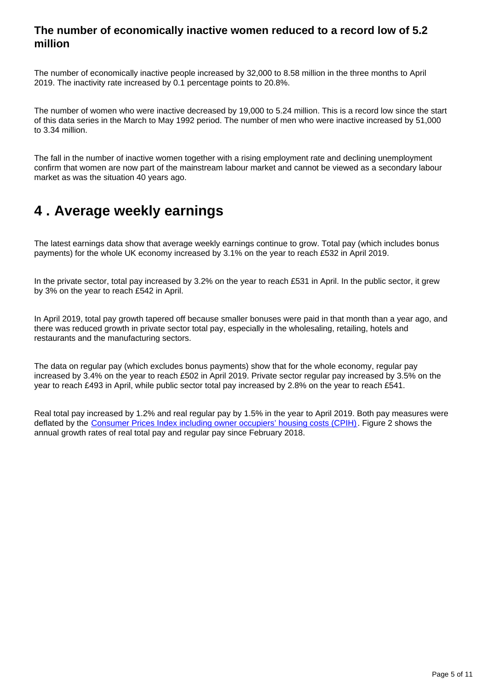### **The number of economically inactive women reduced to a record low of 5.2 million**

The number of economically inactive people increased by 32,000 to 8.58 million in the three months to April 2019. The inactivity rate increased by 0.1 percentage points to 20.8%.

The number of women who were inactive decreased by 19,000 to 5.24 million. This is a record low since the start of this data series in the March to May 1992 period. The number of men who were inactive increased by 51,000 to 3.34 million.

The fall in the number of inactive women together with a rising employment rate and declining unemployment confirm that women are now part of the mainstream labour market and cannot be viewed as a secondary labour market as was the situation 40 years ago.

## <span id="page-4-0"></span>**4 . Average weekly earnings**

The latest earnings data show that average weekly earnings continue to grow. Total pay (which includes bonus payments) for the whole UK economy increased by 3.1% on the year to reach £532 in April 2019.

In the private sector, total pay increased by 3.2% on the year to reach £531 in April. In the public sector, it grew by 3% on the year to reach £542 in April.

In April 2019, total pay growth tapered off because smaller bonuses were paid in that month than a year ago, and there was reduced growth in private sector total pay, especially in the wholesaling, retailing, hotels and restaurants and the manufacturing sectors.

The data on regular pay (which excludes bonus payments) show that for the whole economy, regular pay increased by 3.4% on the year to reach £502 in April 2019. Private sector regular pay increased by 3.5% on the year to reach £493 in April, while public sector total pay increased by 2.8% on the year to reach £541.

Real total pay increased by 1.2% and real regular pay by 1.5% in the year to April 2019. Both pay measures were deflated by the [Consumer Prices Index including owner occupiers' housing costs \(CPIH\)](https://www.ons.gov.uk/economy/inflationandpriceindices/bulletins/consumerpriceinflation/latest). Figure 2 shows the annual growth rates of real total pay and regular pay since February 2018.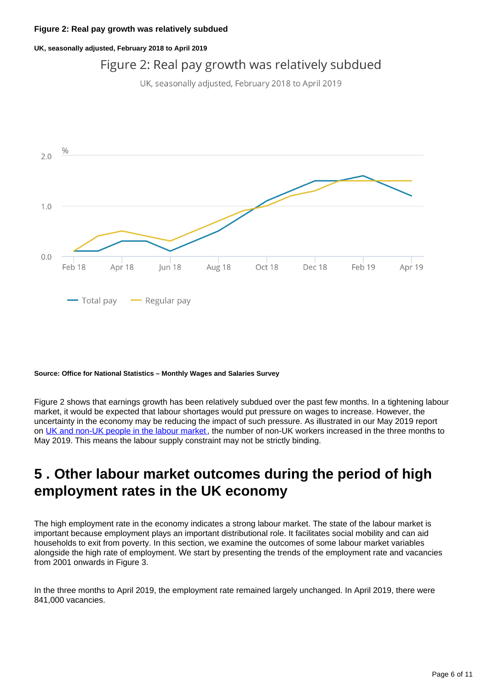### **Figure 2: Real pay growth was relatively subdued**

### **UK, seasonally adjusted, February 2018 to April 2019**

## Figure 2: Real pay growth was relatively subdued

UK, seasonally adjusted, February 2018 to April 2019



### **Source: Office for National Statistics – Monthly Wages and Salaries Survey**

Figure 2 shows that earnings growth has been relatively subdued over the past few months. In a tightening labour market, it would be expected that labour shortages would put pressure on wages to increase. However, the uncertainty in the economy may be reducing the impact of such pressure. As illustrated in our May 2019 report on [UK and non-UK people in the labour market](https://www.ons.gov.uk/employmentandlabourmarket/peopleinwork/employmentandemployeetypes/articles/ukandnonukpeopleinthelabourmarket/may2019), the number of non-UK workers increased in the three months to May 2019. This means the labour supply constraint may not be strictly binding.

## <span id="page-5-0"></span>**5 . Other labour market outcomes during the period of high employment rates in the UK economy**

The high employment rate in the economy indicates a strong labour market. The state of the labour market is important because employment plays an important distributional role. It facilitates social mobility and can aid households to exit from poverty. In this section, we examine the outcomes of some labour market variables alongside the high rate of employment. We start by presenting the trends of the employment rate and vacancies from 2001 onwards in Figure 3.

In the three months to April 2019, the employment rate remained largely unchanged. In April 2019, there were 841,000 vacancies.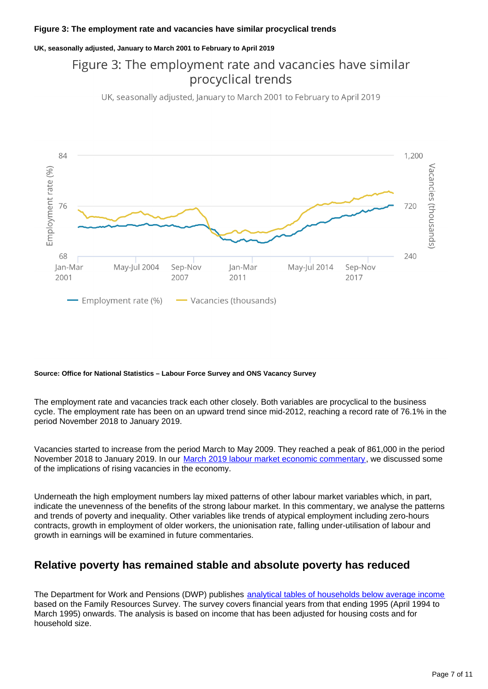### **Figure 3: The employment rate and vacancies have similar procyclical trends**

### **UK, seasonally adjusted, January to March 2001 to February to April 2019**

## Figure 3: The employment rate and vacancies have similar procyclical trends

UK, seasonally adjusted, January to March 2001 to February to April 2019



### **Source: Office for National Statistics – Labour Force Survey and ONS Vacancy Survey**

The employment rate and vacancies track each other closely. Both variables are procyclical to the business cycle. The employment rate has been on an upward trend since mid-2012, reaching a record rate of 76.1% in the period November 2018 to January 2019.

Vacancies started to increase from the period March to May 2009. They reached a peak of 861,000 in the period November 2018 to January 2019. In our [March 2019 labour market economic commentary,](https://www.ons.gov.uk/employmentandlabourmarket/peopleinwork/employmentandemployeetypes/articles/labourmarketeconomiccommentary/march2019) we discussed some of the implications of rising vacancies in the economy.

Underneath the high employment numbers lay mixed patterns of other labour market variables which, in part, indicate the unevenness of the benefits of the strong labour market. In this commentary, we analyse the patterns and trends of poverty and inequality. Other variables like trends of atypical employment including zero-hours contracts, growth in employment of older workers, the unionisation rate, falling under-utilisation of labour and growth in earnings will be examined in future commentaries.

### **Relative poverty has remained stable and absolute poverty has reduced**

The Department for Work and Pensions (DWP) publishes [analytical tables of households below average income](https://www.gov.uk/government/statistics/households-below-average-income-199495-to-201718) based on the Family Resources Survey. The survey covers financial years from that ending 1995 (April 1994 to March 1995) onwards. The analysis is based on income that has been adjusted for housing costs and for household size.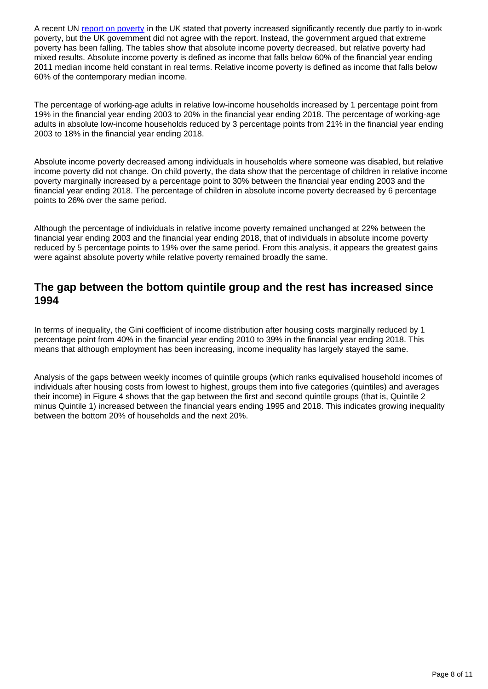A recent UN [report on poverty](https://undocs.org/A/HRC/41/39/Add.1) in the UK stated that poverty increased significantly recently due partly to in-work poverty, but the UK government did not agree with the report. Instead, the government argued that extreme poverty has been falling. The tables show that absolute income poverty decreased, but relative poverty had mixed results. Absolute income poverty is defined as income that falls below 60% of the financial year ending 2011 median income held constant in real terms. Relative income poverty is defined as income that falls below 60% of the contemporary median income.

The percentage of working-age adults in relative low-income households increased by 1 percentage point from 19% in the financial year ending 2003 to 20% in the financial year ending 2018. The percentage of working-age adults in absolute low-income households reduced by 3 percentage points from 21% in the financial year ending 2003 to 18% in the financial year ending 2018.

Absolute income poverty decreased among individuals in households where someone was disabled, but relative income poverty did not change. On child poverty, the data show that the percentage of children in relative income poverty marginally increased by a percentage point to 30% between the financial year ending 2003 and the financial year ending 2018. The percentage of children in absolute income poverty decreased by 6 percentage points to 26% over the same period.

Although the percentage of individuals in relative income poverty remained unchanged at 22% between the financial year ending 2003 and the financial year ending 2018, that of individuals in absolute income poverty reduced by 5 percentage points to 19% over the same period. From this analysis, it appears the greatest gains were against absolute poverty while relative poverty remained broadly the same.

### **The gap between the bottom quintile group and the rest has increased since 1994**

In terms of inequality, the Gini coefficient of income distribution after housing costs marginally reduced by 1 percentage point from 40% in the financial year ending 2010 to 39% in the financial year ending 2018. This means that although employment has been increasing, income inequality has largely stayed the same.

Analysis of the gaps between weekly incomes of quintile groups (which ranks equivalised household incomes of individuals after housing costs from lowest to highest, groups them into five categories (quintiles) and averages their income) in Figure 4 shows that the gap between the first and second quintile groups (that is, Quintile 2 minus Quintile 1) increased between the financial years ending 1995 and 2018. This indicates growing inequality between the bottom 20% of households and the next 20%.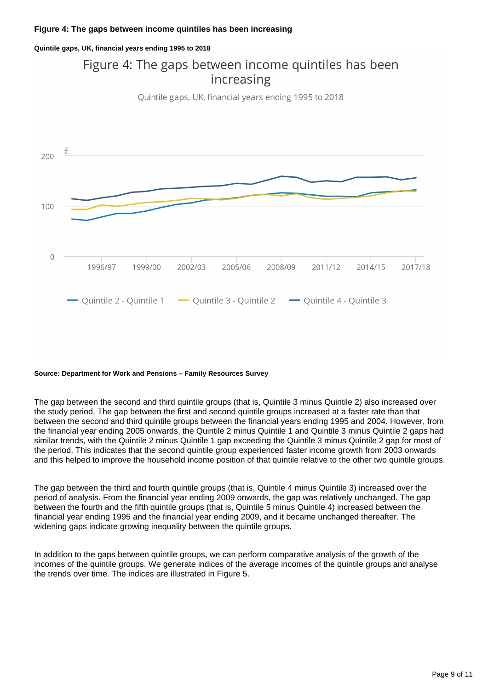**Quintile gaps, UK, financial years ending 1995 to 2018**

## Figure 4: The gaps between income quintiles has been increasing

Quintile gaps, UK, financial years ending 1995 to 2018



### **Source: Department for Work and Pensions – Family Resources Survey**

The gap between the second and third quintile groups (that is, Quintile 3 minus Quintile 2) also increased over the study period. The gap between the first and second quintile groups increased at a faster rate than that between the second and third quintile groups between the financial years ending 1995 and 2004. However, from the financial year ending 2005 onwards, the Quintile 2 minus Quintile 1 and Quintile 3 minus Quintile 2 gaps had similar trends, with the Quintile 2 minus Quintile 1 gap exceeding the Quintile 3 minus Quintile 2 gap for most of the period. This indicates that the second quintile group experienced faster income growth from 2003 onwards and this helped to improve the household income position of that quintile relative to the other two quintile groups.

The gap between the third and fourth quintile groups (that is, Quintile 4 minus Quintile 3) increased over the period of analysis. From the financial year ending 2009 onwards, the gap was relatively unchanged. The gap between the fourth and the fifth quintile groups (that is, Quintile 5 minus Quintile 4) increased between the financial year ending 1995 and the financial year ending 2009, and it became unchanged thereafter. The widening gaps indicate growing inequality between the quintile groups.

In addition to the gaps between quintile groups, we can perform comparative analysis of the growth of the incomes of the quintile groups. We generate indices of the average incomes of the quintile groups and analyse the trends over time. The indices are illustrated in Figure 5.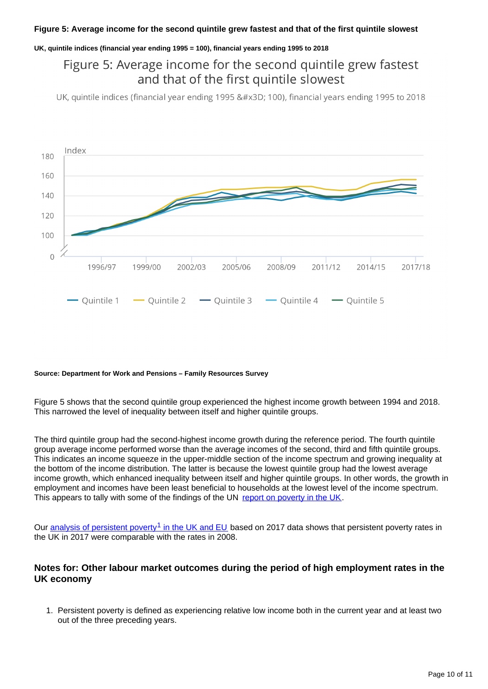### **Figure 5: Average income for the second quintile grew fastest and that of the first quintile slowest**

### **UK, quintile indices (financial year ending 1995 = 100), financial years ending 1995 to 2018**

## Figure 5: Average income for the second quintile grew fastest and that of the first quintile slowest

UK, quintile indices (financial year ending 1995 = 100), financial years ending 1995 to 2018



#### **Source: Department for Work and Pensions – Family Resources Survey**

Figure 5 shows that the second quintile group experienced the highest income growth between 1994 and 2018. This narrowed the level of inequality between itself and higher quintile groups.

The third quintile group had the second-highest income growth during the reference period. The fourth quintile group average income performed worse than the average incomes of the second, third and fifth quintile groups. This indicates an income squeeze in the upper-middle section of the income spectrum and growing inequality at the bottom of the income distribution. The latter is because the lowest quintile group had the lowest average income growth, which enhanced inequality between itself and higher quintile groups. In other words, the growth in employment and incomes have been least beneficial to households at the lowest level of the income spectrum. This appears to tally with some of the findings of the UN [report on poverty in the UK](https://undocs.org/A/HRC/41/39/Add.1).

Our analysis of persistent poverty<sup>1</sup> in the UK and EU based on 2017 data shows that persistent poverty rates in the UK in 2017 were comparable with the rates in 2008.

### **Notes for: Other labour market outcomes during the period of high employment rates in the UK economy**

1. Persistent poverty is defined as experiencing relative low income both in the current year and at least two out of the three preceding years.